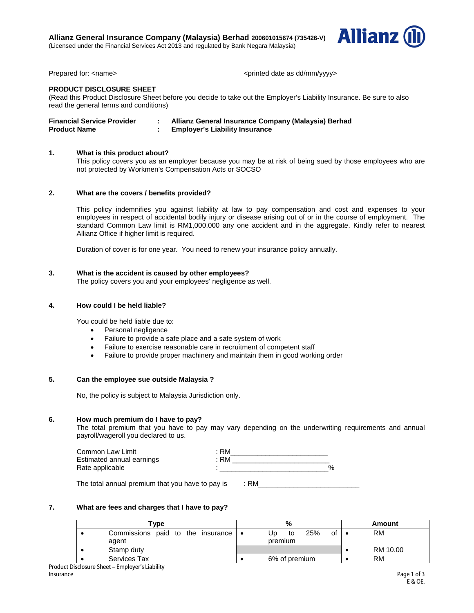**Allianz General Insurance Company (Malaysia) Berhad 200601015674 (735426-V)** (Licensed under the Financial Services Act 2013 and regulated by Bank Negara Malaysia)



Prepared for: <name>  $\leq$  <next state as dd/mm/yyyy>

# **PRODUCT DISCLOSURE SHEET**

(Read this Product Disclosure Sheet before you decide to take out the Employer's Liability Insurance. Be sure to also read the general terms and conditions)

| <b>Financial Service Provider</b> | Allianz General Insurance Company (Malaysia) Berhad |
|-----------------------------------|-----------------------------------------------------|
| <b>Product Name</b>               | <b>Employer's Liability Insurance</b>               |

## **1. What is this product about?**

This policy covers you as an employer because you may be at risk of being sued by those employees who are not protected by Workmen's Compensation Acts or SOCSO

## **2. What are the covers / benefits provided?**

This policy indemnifies you against liability at law to pay compensation and cost and expenses to your employees in respect of accidental bodily injury or disease arising out of or in the course of employment. The standard Common Law limit is RM1,000,000 any one accident and in the aggregate. Kindly refer to nearest Allianz Office if higher limit is required.

Duration of cover is for one year. You need to renew your insurance policy annually.

### **3. What is the accident is caused by other employees?**

The policy covers you and your employees' negligence as well.

## **4. How could I be held liable?**

You could be held liable due to:

- Personal negligence
- Failure to provide a safe place and a safe system of work
- Failure to exercise reasonable care in recruitment of competent staff
- Failure to provide proper machinery and maintain them in good working order

## **5. Can the employee sue outside Malaysia ?**

No, the policy is subject to Malaysia Jurisdiction only.

### **6. How much premium do I have to pay?**

The total premium that you have to pay may vary depending on the underwriting requirements and annual payroll/wageroll you declared to us.

| Common Law Limit          | RM |      |
|---------------------------|----|------|
| Estimated annual earnings | RM |      |
| Rate applicable           |    | $\%$ |

The total annual premium that you have to pay is  $\therefore$  RM

## **7. What are fees and charges that I have to pay?**

| 'vpe                                           | % |                                  |  | Amount    |  |
|------------------------------------------------|---|----------------------------------|--|-----------|--|
| Commissions paid to the insurance   •<br>agent |   | 25%<br>οt<br>to<br>Ub<br>premium |  | <b>RM</b> |  |
| Stamp duty                                     |   |                                  |  | RM 10.00  |  |
| <b>Services Tax</b>                            |   | 6% of premium                    |  | <b>RM</b> |  |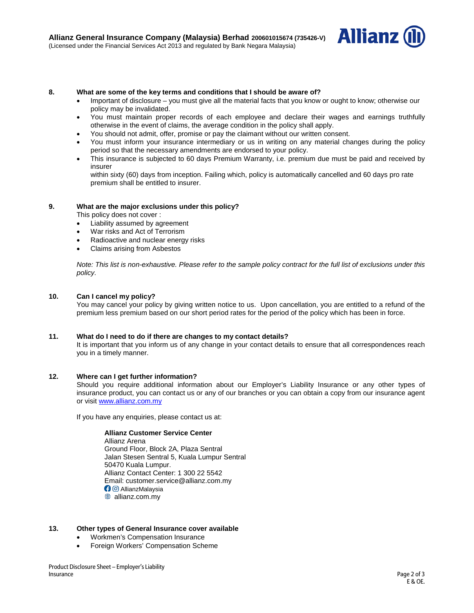

### **8. What are some of the key terms and conditions that I should be aware of?**

- Important of disclosure you must give all the material facts that you know or ought to know; otherwise our policy may be invalidated.
- You must maintain proper records of each employee and declare their wages and earnings truthfully otherwise in the event of claims, the average condition in the policy shall apply.
- You should not admit, offer, promise or pay the claimant without our written consent.
- You must inform your insurance intermediary or us in writing on any material changes during the policy period so that the necessary amendments are endorsed to your policy.
- This insurance is subjected to 60 days Premium Warranty, i.e. premium due must be paid and received by insurer
	- within sixty (60) days from inception. Failing which, policy is automatically cancelled and 60 days pro rate premium shall be entitled to insurer.

### **9. What are the major exclusions under this policy?**

This policy does not cover :

- Liability assumed by agreement
- War risks and Act of Terrorism
- Radioactive and nuclear energy risks
- Claims arising from Asbestos

*Note: This list is non-exhaustive. Please refer to the sample policy contract for the full list of exclusions under this policy.* 

### **10. Can I cancel my policy?**

You may cancel your policy by giving written notice to us. Upon cancellation, you are entitled to a refund of the premium less premium based on our short period rates for the period of the policy which has been in force.

### **11. What do I need to do if there are changes to my contact details?**

It is important that you inform us of any change in your contact details to ensure that all correspondences reach you in a timely manner.

### **12. Where can I get further information?**

Should you require additional information about our Employer's Liability Insurance or any other types of insurance product, you can contact us or any of our branches or you can obtain a copy from our insurance agent or visi[t www.allianz.com.my](http://www.allianz.com.my/)

If you have any enquiries, please contact us at:

### **Allianz Customer Service Center**

Allianz Arena Ground Floor, Block 2A, Plaza Sentral Jalan Stesen Sentral 5, Kuala Lumpur Sentral 50470 Kuala Lumpur. Allianz Contact Center: 1 300 22 5542 Email: customer.service@allianz.com.my **O AllianzMalaysia** <sup>●</sup> allianz.com.my

### **13. Other types of General Insurance cover available**

- Workmen's Compensation Insurance
- Foreign Workers' Compensation Scheme